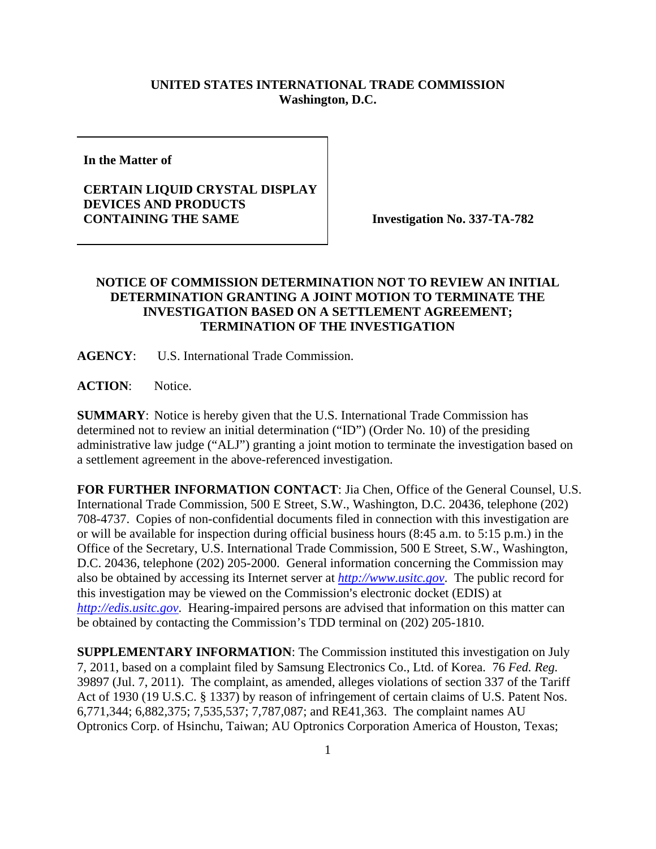## **UNITED STATES INTERNATIONAL TRADE COMMISSION Washington, D.C.**

**In the Matter of** 

## **CERTAIN LIQUID CRYSTAL DISPLAY DEVICES AND PRODUCTS CONTAINING THE SAME** Investigation No. 337-TA-782

## **NOTICE OF COMMISSION DETERMINATION NOT TO REVIEW AN INITIAL DETERMINATION GRANTING A JOINT MOTION TO TERMINATE THE INVESTIGATION BASED ON A SETTLEMENT AGREEMENT; TERMINATION OF THE INVESTIGATION**

**AGENCY**: U.S. International Trade Commission.

**ACTION**: Notice.

**SUMMARY**: Notice is hereby given that the U.S. International Trade Commission has determined not to review an initial determination ("ID") (Order No. 10) of the presiding administrative law judge ("ALJ") granting a joint motion to terminate the investigation based on a settlement agreement in the above-referenced investigation.

**FOR FURTHER INFORMATION CONTACT**: Jia Chen, Office of the General Counsel, U.S. International Trade Commission, 500 E Street, S.W., Washington, D.C. 20436, telephone (202) 708-4737. Copies of non-confidential documents filed in connection with this investigation are or will be available for inspection during official business hours (8:45 a.m. to 5:15 p.m.) in the Office of the Secretary, U.S. International Trade Commission, 500 E Street, S.W., Washington, D.C. 20436, telephone (202) 205-2000. General information concerning the Commission may also be obtained by accessing its Internet server at *http://www.usitc.gov*. The public record for this investigation may be viewed on the Commission's electronic docket (EDIS) at *http://edis.usitc.gov*. Hearing-impaired persons are advised that information on this matter can be obtained by contacting the Commission's TDD terminal on (202) 205-1810.

**SUPPLEMENTARY INFORMATION**: The Commission instituted this investigation on July 7, 2011, based on a complaint filed by Samsung Electronics Co., Ltd. of Korea. 76 *Fed. Reg.*  39897 (Jul. 7, 2011). The complaint, as amended, alleges violations of section 337 of the Tariff Act of 1930 (19 U.S.C. § 1337) by reason of infringement of certain claims of U.S. Patent Nos. 6,771,344; 6,882,375; 7,535,537; 7,787,087; and RE41,363. The complaint names AU Optronics Corp. of Hsinchu, Taiwan; AU Optronics Corporation America of Houston, Texas;